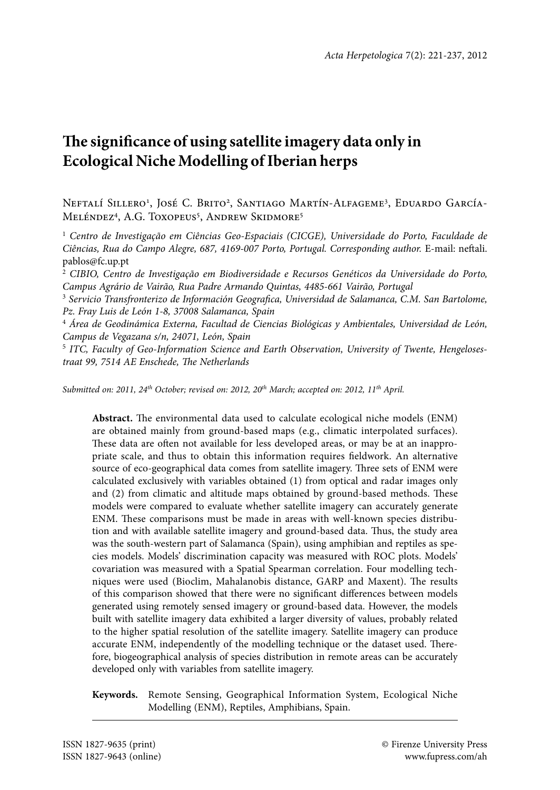# **The significance of using satellite imagery data only in Ecological Niche Modelling of Iberian herps**

NEFTALÍ SILLERO<sup>1</sup>, JOSÉ C. BRITO<sup>2</sup>, SANTIAGO MARTÍN-ALFAGEME<sup>3</sup>, EDUARDO GARCÍA-Meléndez<sup>4</sup>, A.G. Toxopeus<sup>5</sup>, Andrew Skidmore<sup>5</sup>

<sup>1</sup> Centro de Investigação em Ciências Geo-Espaciais (CICGE), Universidade do Porto, Faculdade de *Ciências, Rua do Campo Alegre, 687, 4169-007 Porto, Portugal. Corresponding author.* E-mail: neftali. pablos@fc.up.pt

2  *CIBIO, Centro de Investigação em Biodiversidade e Recursos Genéticos da Universidade do Porto, Campus Agrário de Vairão, Rua Padre Armando Quintas, 4485-661 Vairão, Portugal*

3  *Servicio Transfronterizo de Información Geografica, Universidad de Salamanca, C.M. San Bartolome, Pz. Fray Luis de León 1-8, 37008 Salamanca, Spain*

4  *Área de Geodinámica Externa, Facultad de Ciencias Biológicas y Ambientales, Universidad de León, Campus de Vegazana s/n, 24071, León, Spain*

5  *ITC, Faculty of Geo-Information Science and Earth Observation, University of Twente, Hengelosestraat 99, 7514 AE Enschede, The Netherlands*

*Submitted on: 2011, 24th October; revised on: 2012, 20th March; accepted on: 2012, 11th April.*

**Abstract.** The environmental data used to calculate ecological niche models (ENM) are obtained mainly from ground-based maps (e.g., climatic interpolated surfaces). These data are often not available for less developed areas, or may be at an inappropriate scale, and thus to obtain this information requires fieldwork. An alternative source of eco-geographical data comes from satellite imagery. Three sets of ENM were calculated exclusively with variables obtained (1) from optical and radar images only and (2) from climatic and altitude maps obtained by ground-based methods. These models were compared to evaluate whether satellite imagery can accurately generate ENM. These comparisons must be made in areas with well-known species distribution and with available satellite imagery and ground-based data. Thus, the study area was the south-western part of Salamanca (Spain), using amphibian and reptiles as species models. Models' discrimination capacity was measured with ROC plots. Models' covariation was measured with a Spatial Spearman correlation. Four modelling techniques were used (Bioclim, Mahalanobis distance, GARP and Maxent). The results of this comparison showed that there were no significant differences between models generated using remotely sensed imagery or ground-based data. However, the models built with satellite imagery data exhibited a larger diversity of values, probably related to the higher spatial resolution of the satellite imagery. Satellite imagery can produce accurate ENM, independently of the modelling technique or the dataset used. Therefore, biogeographical analysis of species distribution in remote areas can be accurately developed only with variables from satellite imagery.

**Keywords.** Remote Sensing, Geographical Information System, Ecological Niche Modelling (ENM), Reptiles, Amphibians, Spain.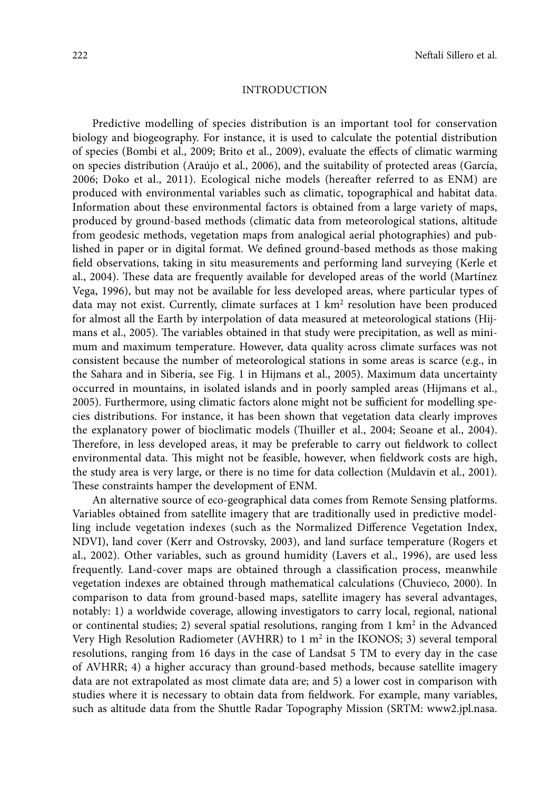## **INTRODUCTION**

Predictive modelling of species distribution is an important tool for conservation biology and biogeography. For instance, it is used to calculate the potential distribution of species (Bombi et al., 2009; Brito et al., 2009), evaluate the effects of climatic warming on species distribution (Araújo et al., 2006), and the suitability of protected areas (García, 2006; Doko et al., 2011). Ecological niche models (hereafter referred to as ENM) are produced with environmental variables such as climatic, topographical and habitat data. Information about these environmental factors is obtained from a large variety of maps, produced by ground-based methods (climatic data from meteorological stations, altitude from geodesic methods, vegetation maps from analogical aerial photographies) and published in paper or in digital format. We defined ground-based methods as those making field observations, taking in situ measurements and performing land surveying (Kerle et al., 2004). These data are frequently available for developed areas of the world (Martínez Vega, 1996), but may not be available for less developed areas, where particular types of data may not exist. Currently, climate surfaces at  $1 \text{ km}^2$  resolution have been produced for almost all the Earth by interpolation of data measured at meteorological stations (Hijmans et al., 2005). The variables obtained in that study were precipitation, as well as minimum and maximum temperature. However, data quality across climate surfaces was not consistent because the number of meteorological stations in some areas is scarce (e.g., in the Sahara and in Siberia, see Fig. 1 in Hijmans et al., 2005). Maximum data uncertainty occurred in mountains, in isolated islands and in poorly sampled areas (Hijmans et al., 2005). Furthermore, using climatic factors alone might not be sufficient for modelling species distributions. For instance, it has been shown that vegetation data clearly improves the explanatory power of bioclimatic models (Thuiller et al., 2004; Seoane et al., 2004). Therefore, in less developed areas, it may be preferable to carry out fieldwork to collect environmental data. This might not be feasible, however, when fieldwork costs are high, the study area is very large, or there is no time for data collection (Muldavin et al., 2001). These constraints hamper the development of ENM.

An alternative source of eco-geographical data comes from Remote Sensing platforms. Variables obtained from satellite imagery that are traditionally used in predictive modelling include vegetation indexes (such as the Normalized Difference Vegetation Index, NDVI), land cover (Kerr and Ostrovsky, 2003), and land surface temperature (Rogers et al., 2002). Other variables, such as ground humidity (Lavers et al., 1996), are used less frequently. Land-cover maps are obtained through a classification process, meanwhile vegetation indexes are obtained through mathematical calculations (Chuvieco, 2000). In comparison to data from ground-based maps, satellite imagery has several advantages, notably: 1) a worldwide coverage, allowing investigators to carry local, regional, national or continental studies; 2) several spatial resolutions, ranging from  $1 \text{ km}^2$  in the Advanced Very High Resolution Radiometer (AVHRR) to  $1 \text{ m}^2$  in the IKONOS; 3) several temporal resolutions, ranging from 16 days in the case of Landsat 5 TM to every day in the case of AVHRR; 4) a higher accuracy than ground-based methods, because satellite imagery data are not extrapolated as most climate data are; and 5) a lower cost in comparison with studies where it is necessary to obtain data from fieldwork. For example, many variables, such as altitude data from the Shuttle Radar Topography Mission (SRTM: www2.jpl.nasa.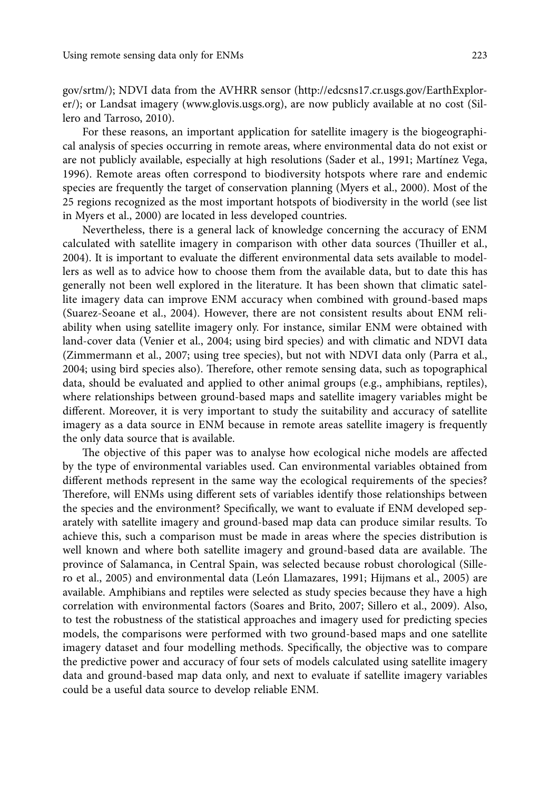gov/srtm/); NDVI data from the AVHRR sensor (http://edcsns17.cr.usgs.gov/EarthExplorer/); or Landsat imagery (www.glovis.usgs.org), are now publicly available at no cost (Sillero and Tarroso, 2010).

For these reasons, an important application for satellite imagery is the biogeographical analysis of species occurring in remote areas, where environmental data do not exist or are not publicly available, especially at high resolutions (Sader et al., 1991; Martínez Vega, 1996). Remote areas often correspond to biodiversity hotspots where rare and endemic species are frequently the target of conservation planning (Myers et al., 2000). Most of the 25 regions recognized as the most important hotspots of biodiversity in the world (see list in Myers et al., 2000) are located in less developed countries.

Nevertheless, there is a general lack of knowledge concerning the accuracy of ENM calculated with satellite imagery in comparison with other data sources (Thuiller et al., 2004). It is important to evaluate the different environmental data sets available to modellers as well as to advice how to choose them from the available data, but to date this has generally not been well explored in the literature. It has been shown that climatic satellite imagery data can improve ENM accuracy when combined with ground-based maps (Suarez-Seoane et al., 2004). However, there are not consistent results about ENM reliability when using satellite imagery only. For instance, similar ENM were obtained with land-cover data (Venier et al., 2004; using bird species) and with climatic and NDVI data (Zimmermann et al., 2007; using tree species), but not with NDVI data only (Parra et al., 2004; using bird species also). Therefore, other remote sensing data, such as topographical data, should be evaluated and applied to other animal groups (e.g., amphibians, reptiles), where relationships between ground-based maps and satellite imagery variables might be different. Moreover, it is very important to study the suitability and accuracy of satellite imagery as a data source in ENM because in remote areas satellite imagery is frequently the only data source that is available.

The objective of this paper was to analyse how ecological niche models are affected by the type of environmental variables used. Can environmental variables obtained from different methods represent in the same way the ecological requirements of the species? Therefore, will ENMs using different sets of variables identify those relationships between the species and the environment? Specifically, we want to evaluate if ENM developed separately with satellite imagery and ground-based map data can produce similar results. To achieve this, such a comparison must be made in areas where the species distribution is well known and where both satellite imagery and ground-based data are available. The province of Salamanca, in Central Spain, was selected because robust chorological (Sillero et al., 2005) and environmental data (León Llamazares, 1991; Hijmans et al., 2005) are available. Amphibians and reptiles were selected as study species because they have a high correlation with environmental factors (Soares and Brito, 2007; Sillero et al., 2009). Also, to test the robustness of the statistical approaches and imagery used for predicting species models, the comparisons were performed with two ground-based maps and one satellite imagery dataset and four modelling methods. Specifically, the objective was to compare the predictive power and accuracy of four sets of models calculated using satellite imagery data and ground-based map data only, and next to evaluate if satellite imagery variables could be a useful data source to develop reliable ENM.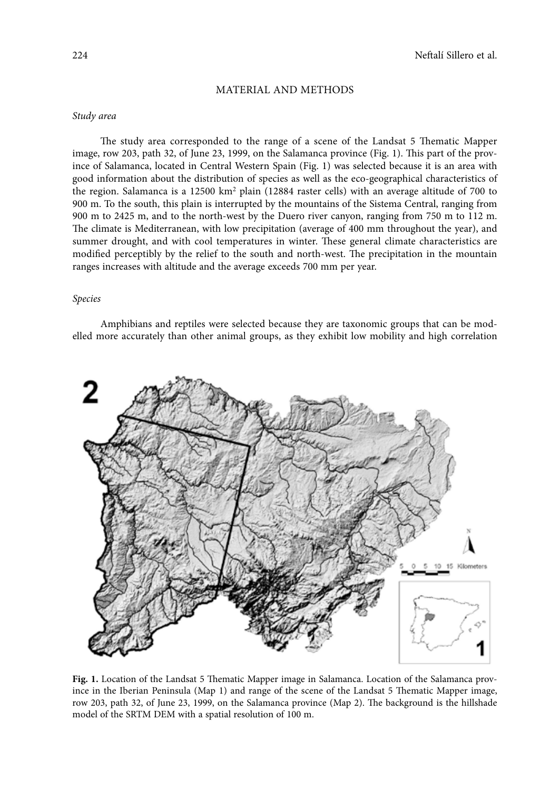## Material and Methods

## *Study area*

The study area corresponded to the range of a scene of the Landsat 5 Thematic Mapper image, row 203, path 32, of June 23, 1999, on the Salamanca province (Fig. 1). This part of the province of Salamanca, located in Central Western Spain (Fig. 1) was selected because it is an area with good information about the distribution of species as well as the eco-geographical characteristics of the region. Salamanca is a 12500  $\rm km^2$  plain (12884 raster cells) with an average altitude of 700 to 900 m. To the south, this plain is interrupted by the mountains of the Sistema Central, ranging from 900 m to 2425 m, and to the north-west by the Duero river canyon, ranging from 750 m to 112 m. The climate is Mediterranean, with low precipitation (average of 400 mm throughout the year), and summer drought, and with cool temperatures in winter. These general climate characteristics are modified perceptibly by the relief to the south and north-west. The precipitation in the mountain ranges increases with altitude and the average exceeds 700 mm per year.

#### *Species*

Amphibians and reptiles were selected because they are taxonomic groups that can be modelled more accurately than other animal groups, as they exhibit low mobility and high correlation



**Fig. 1.** Location of the Landsat 5 Thematic Mapper image in Salamanca. Location of the Salamanca province in the Iberian Peninsula (Map 1) and range of the scene of the Landsat 5 Thematic Mapper image, row 203, path 32, of June 23, 1999, on the Salamanca province (Map 2). The background is the hillshade model of the SRTM DEM with a spatial resolution of 100 m.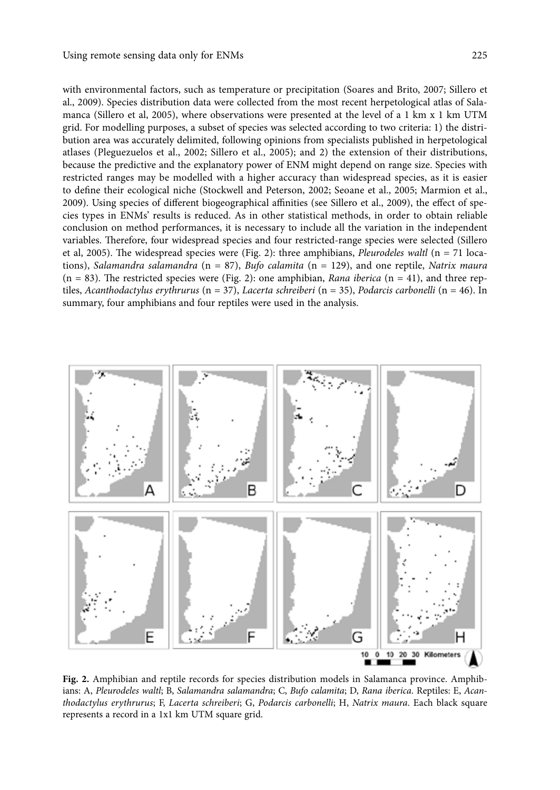with environmental factors, such as temperature or precipitation (Soares and Brito, 2007; Sillero et al., 2009). Species distribution data were collected from the most recent herpetological atlas of Salamanca (Sillero et al, 2005), where observations were presented at the level of a 1 km x 1 km UTM grid. For modelling purposes, a subset of species was selected according to two criteria: 1) the distribution area was accurately delimited, following opinions from specialists published in herpetological atlases (Pleguezuelos et al., 2002; Sillero et al., 2005); and 2) the extension of their distributions, because the predictive and the explanatory power of ENM might depend on range size. Species with restricted ranges may be modelled with a higher accuracy than widespread species, as it is easier to define their ecological niche (Stockwell and Peterson, 2002; Seoane et al., 2005; Marmion et al., 2009). Using species of different biogeographical affinities (see Sillero et al., 2009), the effect of species types in ENMs' results is reduced. As in other statistical methods, in order to obtain reliable conclusion on method performances, it is necessary to include all the variation in the independent variables. Therefore, four widespread species and four restricted-range species were selected (Sillero et al, 2005). The widespread species were (Fig. 2): three amphibians, *Pleurodeles waltl* (n = 71 locations), *Salamandra salamandra* (n = 87), *Bufo calamita* (n = 129), and one reptile, *Natrix maura*  (n = 83). The restricted species were (Fig. 2): one amphibian, *Rana iberica* (n = 41), and three reptiles, *Acanthodactylus erythrurus* (n = 37), *Lacerta schreiberi* (n = 35), *Podarcis carbonelli* (n = 46). In summary, four amphibians and four reptiles were used in the analysis.



**Fig. 2.** Amphibian and reptile records for species distribution models in Salamanca province. Amphibians: A, *Pleurodeles waltl*; B, *Salamandra salamandra*; C, *Bufo calamita*; D, *Rana iberica*. Reptiles: E, *Acanthodactylus erythrurus*; F, *Lacerta schreiberi*; G, *Podarcis carbonelli*; H, *Natrix maura*. Each black square represents a record in a 1x1 km UTM square grid.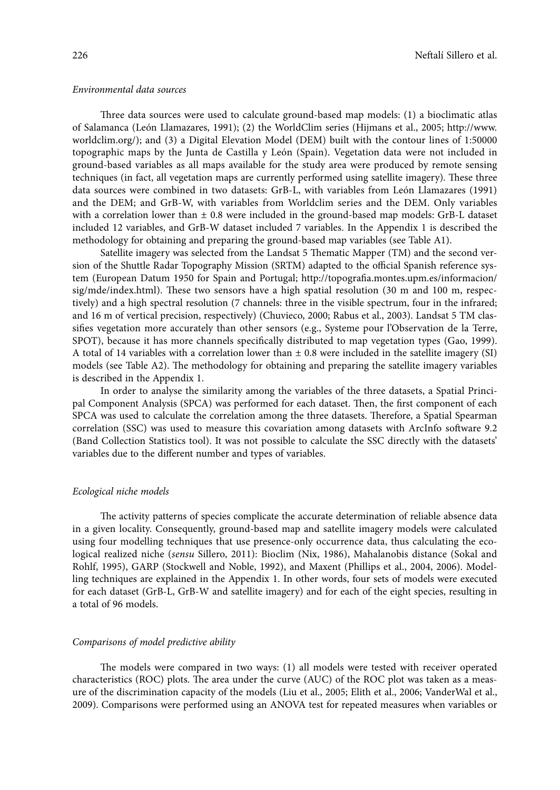## *Environmental data sources*

Three data sources were used to calculate ground-based map models: (1) a bioclimatic atlas of Salamanca (León Llamazares, 1991); (2) the WorldClim series (Hijmans et al., 2005; http://www. worldclim.org/); and (3) a Digital Elevation Model (DEM) built with the contour lines of 1:50000 topographic maps by the Junta de Castilla y León (Spain). Vegetation data were not included in ground-based variables as all maps available for the study area were produced by remote sensing techniques (in fact, all vegetation maps are currently performed using satellite imagery). These three data sources were combined in two datasets: GrB-L, with variables from León Llamazares (1991) and the DEM; and GrB-W, with variables from Worldclim series and the DEM. Only variables with a correlation lower than  $\pm$  0.8 were included in the ground-based map models: GrB-L dataset included 12 variables, and GrB-W dataset included 7 variables. In the Appendix 1 is described the methodology for obtaining and preparing the ground-based map variables (see Table A1).

Satellite imagery was selected from the Landsat 5 Thematic Mapper (TM) and the second version of the Shuttle Radar Topography Mission (SRTM) adapted to the official Spanish reference system (European Datum 1950 for Spain and Portugal; http://topografia.montes.upm.es/informacion/ sig/mde/index.html). These two sensors have a high spatial resolution (30 m and 100 m, respectively) and a high spectral resolution (7 channels: three in the visible spectrum, four in the infrared; and 16 m of vertical precision, respectively) (Chuvieco, 2000; Rabus et al., 2003). Landsat 5 TM classifies vegetation more accurately than other sensors (e.g., Systeme pour l'Observation de la Terre, SPOT), because it has more channels specifically distributed to map vegetation types (Gao, 1999). A total of 14 variables with a correlation lower than ± 0.8 were included in the satellite imagery (SI) models (see Table A2). The methodology for obtaining and preparing the satellite imagery variables is described in the Appendix 1.

In order to analyse the similarity among the variables of the three datasets, a Spatial Principal Component Analysis (SPCA) was performed for each dataset. Then, the first component of each SPCA was used to calculate the correlation among the three datasets. Therefore, a Spatial Spearman correlation (SSC) was used to measure this covariation among datasets with ArcInfo software 9.2 (Band Collection Statistics tool). It was not possible to calculate the SSC directly with the datasets' variables due to the different number and types of variables.

#### *Ecological niche models*

The activity patterns of species complicate the accurate determination of reliable absence data in a given locality. Consequently, ground-based map and satellite imagery models were calculated using four modelling techniques that use presence-only occurrence data, thus calculating the ecological realized niche (*sensu* Sillero, 2011): Bioclim (Nix, 1986), Mahalanobis distance (Sokal and Rohlf, 1995), GARP (Stockwell and Noble, 1992), and Maxent (Phillips et al., 2004, 2006). Modelling techniques are explained in the Appendix 1. In other words, four sets of models were executed for each dataset (GrB-L, GrB-W and satellite imagery) and for each of the eight species, resulting in a total of 96 models.

## *Comparisons of model predictive ability*

The models were compared in two ways: (1) all models were tested with receiver operated characteristics (ROC) plots. The area under the curve (AUC) of the ROC plot was taken as a measure of the discrimination capacity of the models (Liu et al., 2005; Elith et al., 2006; VanderWal et al., 2009). Comparisons were performed using an ANOVA test for repeated measures when variables or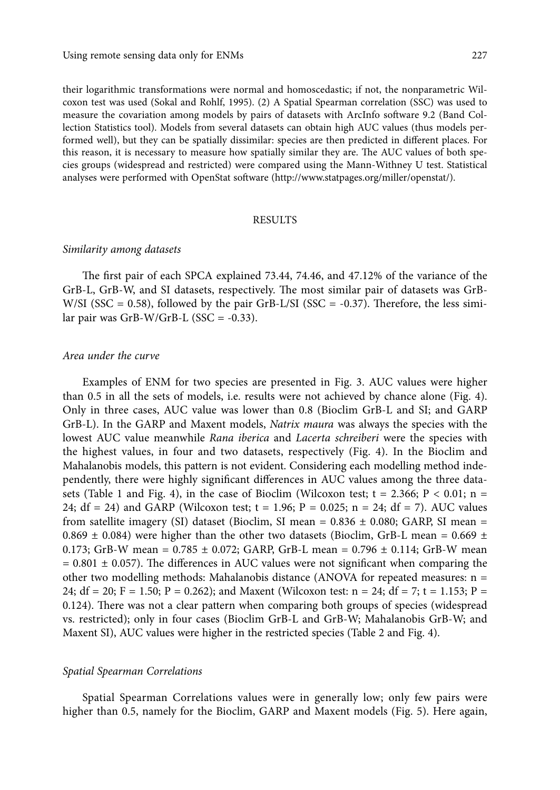their logarithmic transformations were normal and homoscedastic; if not, the nonparametric Wilcoxon test was used (Sokal and Rohlf, 1995). (2) A Spatial Spearman correlation (SSC) was used to measure the covariation among models by pairs of datasets with ArcInfo software 9.2 (Band Collection Statistics tool). Models from several datasets can obtain high AUC values (thus models performed well), but they can be spatially dissimilar: species are then predicted in different places. For this reason, it is necessary to measure how spatially similar they are. The AUC values of both species groups (widespread and restricted) were compared using the Mann-Withney U test. Statistical analyses were performed with OpenStat software (http://www.statpages.org/miller/openstat/).

## **RESULTS**

#### *Similarity among datasets*

The first pair of each SPCA explained 73.44, 74.46, and 47.12% of the variance of the GrB-L, GrB-W, and SI datasets, respectively. The most similar pair of datasets was GrB-W/SI (SSC =  $0.58$ ), followed by the pair GrB-L/SI (SSC =  $-0.37$ ). Therefore, the less similar pair was GrB-W/GrB-L  $(SSC = -0.33)$ .

## *Area under the curve*

Examples of ENM for two species are presented in Fig. 3. AUC values were higher than 0.5 in all the sets of models, i.e. results were not achieved by chance alone (Fig. 4). Only in three cases, AUC value was lower than 0.8 (Bioclim GrB-L and SI; and GARP GrB-L). In the GARP and Maxent models, *Natrix maura* was always the species with the lowest AUC value meanwhile *Rana iberica* and *Lacerta schreiberi* were the species with the highest values, in four and two datasets, respectively (Fig. 4). In the Bioclim and Mahalanobis models, this pattern is not evident. Considering each modelling method independently, there were highly significant differences in AUC values among the three datasets (Table 1 and Fig. 4), in the case of Bioclim (Wilcoxon test;  $t = 2.366$ ;  $P < 0.01$ ; n = 24; df = 24) and GARP (Wilcoxon test; t = 1.96; P = 0.025; n = 24; df = 7). AUC values from satellite imagery (SI) dataset (Bioclim, SI mean =  $0.836 \pm 0.080$ ; GARP, SI mean = 0.869  $\pm$  0.084) were higher than the other two datasets (Bioclim, GrB-L mean = 0.669  $\pm$ 0.173; GrB-W mean =  $0.785 \pm 0.072$ ; GARP, GrB-L mean =  $0.796 \pm 0.114$ ; GrB-W mean  $= 0.801 \pm 0.057$ ). The differences in AUC values were not significant when comparing the other two modelling methods: Mahalanobis distance (ANOVA for repeated measures: n = 24; df = 20; F = 1.50; P = 0.262); and Maxent (Wilcoxon test:  $n = 24$ ; df = 7; t = 1.153; P = 0.124). There was not a clear pattern when comparing both groups of species (widespread vs. restricted); only in four cases (Bioclim GrB-L and GrB-W; Mahalanobis GrB-W; and Maxent SI), AUC values were higher in the restricted species (Table 2 and Fig. 4).

## *Spatial Spearman Correlations*

Spatial Spearman Correlations values were in generally low; only few pairs were higher than 0.5, namely for the Bioclim, GARP and Maxent models (Fig. 5). Here again,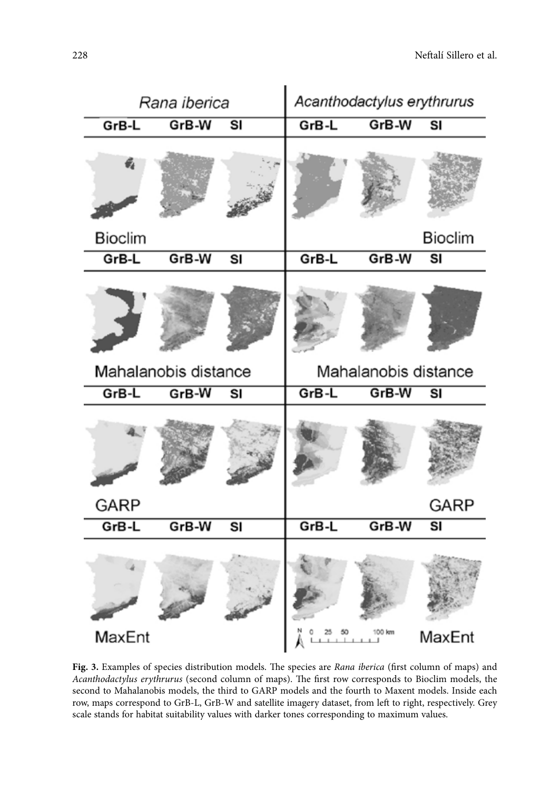

**Fig. 3.** Examples of species distribution models. The species are *Rana iberica* (first column of maps) and *Acanthodactylus erythrurus* (second column of maps). The first row corresponds to Bioclim models, the second to Mahalanobis models, the third to GARP models and the fourth to Maxent models. Inside each row, maps correspond to GrB-L, GrB-W and satellite imagery dataset, from left to right, respectively. Grey scale stands for habitat suitability values with darker tones corresponding to maximum values.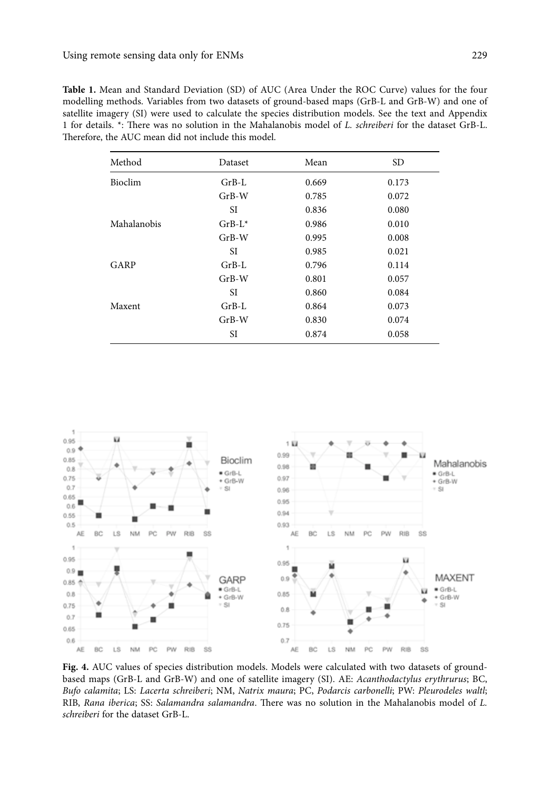| Method         | Dataset   | Mean  | <b>SD</b> |
|----------------|-----------|-------|-----------|
| <b>Bioclim</b> | $GrB-L$   | 0.669 | 0.173     |
|                | $GrB-W$   | 0.785 | 0.072     |
|                | SI        | 0.836 | 0.080     |
| Mahalanobis    | $GrB-L^*$ | 0.986 | 0.010     |
|                | $GrB-W$   | 0.995 | 0.008     |
|                | SI        | 0.985 | 0.021     |
| GARP           | $GrB-I.$  | 0.796 | 0.114     |
|                | $GrB-W$   | 0.801 | 0.057     |
|                | SI        | 0.860 | 0.084     |
| Maxent         | $GrB-L$   | 0.864 | 0.073     |
|                | $GrB-W$   | 0.830 | 0.074     |
|                | SI        | 0.874 | 0.058     |

**Table 1.** Mean and Standard Deviation (SD) of AUC (Area Under the ROC Curve) values for the four modelling methods. Variables from two datasets of ground-based maps (GrB-L and GrB-W) and one of satellite imagery (SI) were used to calculate the species distribution models. See the text and Appendix 1 for details. \*: There was no solution in the Mahalanobis model of *L. schreiberi* for the dataset GrB-L. Therefore, the AUC mean did not include this model.



Fig. 4. AUC values of species distribution models. Models were calculated with two datasets of groundbased maps (GrB-L and GrB-W) and one of satellite imagery (SI). AE: *Acanthodactylus erythrurus*; BC, *Bufo calamita*; LS: *Lacerta schreiberi*; NM, *Natrix maura*; PC, *Podarcis carbonelli*; PW: *Pleurodeles waltl*; RIB, *Rana iberica*; SS: *Salamandra salamandra*. There was no solution in the Mahalanobis model of *L. schreiberi* for the dataset GrB-L.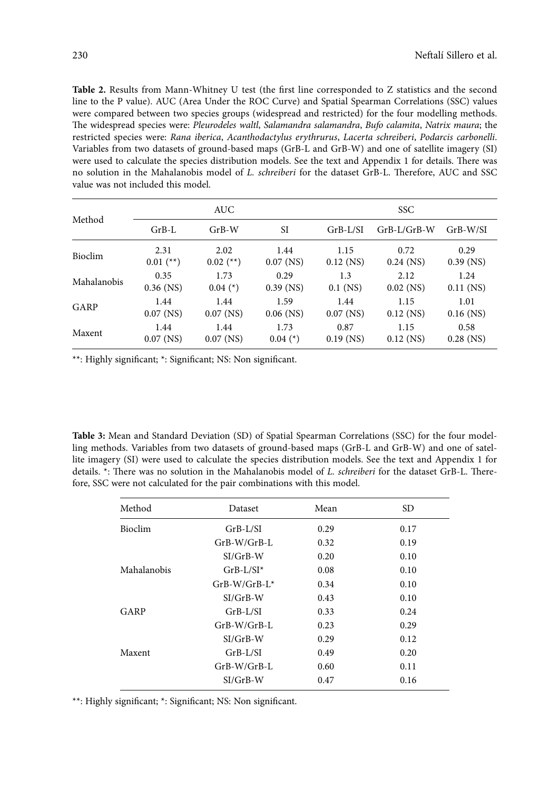**Table 2.** Results from Mann-Whitney U test (the first line corresponded to Z statistics and the second line to the P value). AUC (Area Under the ROC Curve) and Spatial Spearman Correlations (SSC) values were compared between two species groups (widespread and restricted) for the four modelling methods. The widespread species were: *Pleurodeles waltl*, *Salamandra salamandra*, *Bufo calamita*, *Natrix maura*; the restricted species were: *Rana iberica*, *Acanthodactylus erythrurus*, *Lacerta schreiberi*, *Podarcis carbonelli*. Variables from two datasets of ground-based maps (GrB-L and GrB-W) and one of satellite imagery (SI) were used to calculate the species distribution models. See the text and Appendix 1 for details. There was no solution in the Mahalanobis model of *L. schreiberi* for the dataset GrB-L. Therefore, AUC and SSC value was not included this model.

| Method         | <b>AUC</b>  |             |             | <b>SSC</b>  |               |             |
|----------------|-------------|-------------|-------------|-------------|---------------|-------------|
|                | $GrB-L$     | $GrB-W$     | <b>SI</b>   | $GrB-L/SI$  | $GrB-L/GrB-W$ | $GrB-W/SI$  |
| <b>Bioclim</b> | 2.31        | 2.02        | 1.44        | 1.15        | 0.72          | 0.29        |
|                | $0.01$ (**) | $0.02$ (**) | $0.07$ (NS) | $0.12$ (NS) | $0.24$ (NS)   | $0.39$ (NS) |
| Mahalanobis    | 0.35        | 1.73        | 0.29        | 1.3         | 2.12          | 1.24        |
|                | $0.36$ (NS) | $0.04$ (*)  | $0.39$ (NS) | $0.1$ (NS)  | $0.02$ (NS)   | $0.11$ (NS) |
| GARP           | 1.44        | 1.44        | 1.59        | 1.44        | 1.15          | 1.01        |
|                | $0.07$ (NS) | $0.07$ (NS) | $0.06$ (NS) | $0.07$ (NS) | $0.12$ (NS)   | $0.16$ (NS) |
| Maxent         | 1.44        | 1.44        | 1.73        | 0.87        | 1.15          | 0.58        |
|                | $0.07$ (NS) | $0.07$ (NS) | $0.04$ (*)  | $0.19$ (NS) | $0.12$ (NS)   | $0.28$ (NS) |

\*\*: Highly significant; \*: Significant; NS: Non significant.

**Table 3:** Mean and Standard Deviation (SD) of Spatial Spearman Correlations (SSC) for the four modelling methods. Variables from two datasets of ground-based maps (GrB-L and GrB-W) and one of satellite imagery (SI) were used to calculate the species distribution models. See the text and Appendix 1 for details. \*: There was no solution in the Mahalanobis model of *L. schreiberi* for the dataset GrB-L. Therefore, SSC were not calculated for the pair combinations with this model.

| Method         | Dataset          | Mean | <b>SD</b> |
|----------------|------------------|------|-----------|
| <b>Bioclim</b> | $GrB-L/SI$       | 0.29 | 0.17      |
|                | $GrB-W/GrB-L$    | 0.32 | 0.19      |
|                | $SI/GrB-W$       | 0.20 | 0.10      |
| Mahalanobis    | $GrB-L/SI^*$     | 0.08 | 0.10      |
|                | $GrB-W/GrB-I.$ * | 0.34 | 0.10      |
|                | $SI/GrB-W$       | 0.43 | 0.10      |
| GARP           | $GrB-L/SI$       | 0.33 | 0.24      |
|                | $GrB-W/GrB-I.$   | 0.23 | 0.29      |
|                | $SI/GrB-W$       | 0.29 | 0.12      |
| Maxent         | $GrB-L/SI$       | 0.49 | 0.20      |
|                | GrB-W/GrB-L      | 0.60 | 0.11      |
|                | $SI/GrB-W$       | 0.47 | 0.16      |

\*\*: Highly significant; \*: Significant; NS: Non significant.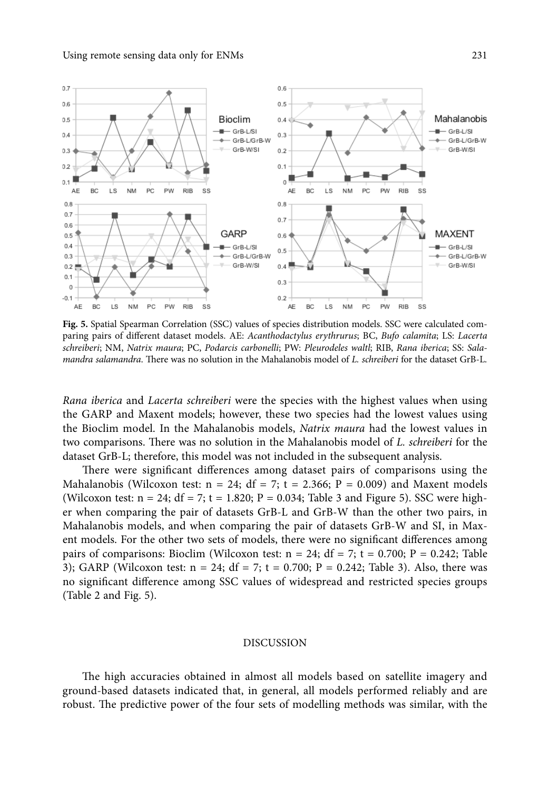

**Fig. 5.** Spatial Spearman Correlation (SSC) values of species distribution models. SSC were calculated comparing pairs of different dataset models. AE: *Acanthodactylus erythrurus*; BC, *Bufo calamita*; LS: *Lacerta schreiberi*; NM, *Natrix maura*; PC, *Podarcis carbonelli*; PW: *Pleurodeles waltl*; RIB, *Rana iberica*; SS: *Salamandra salamandra*. There was no solution in the Mahalanobis model of *L. schreiberi* for the dataset GrB-L.

*Rana iberica* and *Lacerta schreiberi* were the species with the highest values when using the GARP and Maxent models; however, these two species had the lowest values using the Bioclim model. In the Mahalanobis models, *Natrix maura* had the lowest values in two comparisons. There was no solution in the Mahalanobis model of *L. schreiberi* for the dataset GrB-L; therefore, this model was not included in the subsequent analysis.

There were significant differences among dataset pairs of comparisons using the Mahalanobis (Wilcoxon test:  $n = 24$ ;  $df = 7$ ;  $t = 2.366$ ;  $P = 0.009$ ) and Maxent models (Wilcoxon test:  $n = 24$ ;  $df = 7$ ;  $t = 1.820$ ;  $P = 0.034$ ; Table 3 and Figure 5). SSC were higher when comparing the pair of datasets GrB-L and GrB-W than the other two pairs, in Mahalanobis models, and when comparing the pair of datasets GrB-W and SI, in Maxent models. For the other two sets of models, there were no significant differences among pairs of comparisons: Bioclim (Wilcoxon test:  $n = 24$ ; df = 7; t = 0.700; P = 0.242; Table 3); GARP (Wilcoxon test:  $n = 24$ ; df = 7; t = 0.700; P = 0.242; Table 3). Also, there was no significant difference among SSC values of widespread and restricted species groups (Table 2 and Fig. 5).

## Discussion

The high accuracies obtained in almost all models based on satellite imagery and ground-based datasets indicated that, in general, all models performed reliably and are robust. The predictive power of the four sets of modelling methods was similar, with the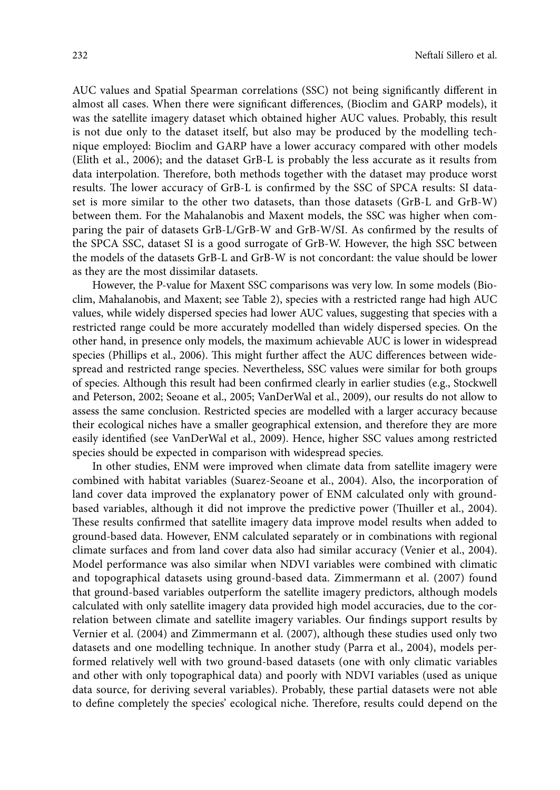AUC values and Spatial Spearman correlations (SSC) not being significantly different in almost all cases. When there were significant differences, (Bioclim and GARP models), it was the satellite imagery dataset which obtained higher AUC values. Probably, this result is not due only to the dataset itself, but also may be produced by the modelling technique employed: Bioclim and GARP have a lower accuracy compared with other models (Elith et al., 2006); and the dataset GrB-L is probably the less accurate as it results from data interpolation. Therefore, both methods together with the dataset may produce worst results. The lower accuracy of GrB-L is confirmed by the SSC of SPCA results: SI dataset is more similar to the other two datasets, than those datasets (GrB-L and GrB-W) between them. For the Mahalanobis and Maxent models, the SSC was higher when comparing the pair of datasets GrB-L/GrB-W and GrB-W/SI. As confirmed by the results of the SPCA SSC, dataset SI is a good surrogate of GrB-W. However, the high SSC between the models of the datasets GrB-L and GrB-W is not concordant: the value should be lower as they are the most dissimilar datasets.

However, the P-value for Maxent SSC comparisons was very low. In some models (Bioclim, Mahalanobis, and Maxent; see Table 2), species with a restricted range had high AUC values, while widely dispersed species had lower AUC values, suggesting that species with a restricted range could be more accurately modelled than widely dispersed species. On the other hand, in presence only models, the maximum achievable AUC is lower in widespread species (Phillips et al., 2006). This might further affect the AUC differences between widespread and restricted range species. Nevertheless, SSC values were similar for both groups of species. Although this result had been confirmed clearly in earlier studies (e.g., Stockwell and Peterson, 2002; Seoane et al., 2005; VanDerWal et al., 2009), our results do not allow to assess the same conclusion. Restricted species are modelled with a larger accuracy because their ecological niches have a smaller geographical extension, and therefore they are more easily identified (see VanDerWal et al., 2009). Hence, higher SSC values among restricted species should be expected in comparison with widespread species.

In other studies, ENM were improved when climate data from satellite imagery were combined with habitat variables (Suarez-Seoane et al., 2004). Also, the incorporation of land cover data improved the explanatory power of ENM calculated only with groundbased variables, although it did not improve the predictive power (Thuiller et al., 2004). These results confirmed that satellite imagery data improve model results when added to ground-based data. However, ENM calculated separately or in combinations with regional climate surfaces and from land cover data also had similar accuracy (Venier et al., 2004). Model performance was also similar when NDVI variables were combined with climatic and topographical datasets using ground-based data. Zimmermann et al. (2007) found that ground-based variables outperform the satellite imagery predictors, although models calculated with only satellite imagery data provided high model accuracies, due to the correlation between climate and satellite imagery variables. Our findings support results by Vernier et al. (2004) and Zimmermann et al. (2007), although these studies used only two datasets and one modelling technique. In another study (Parra et al., 2004), models performed relatively well with two ground-based datasets (one with only climatic variables and other with only topographical data) and poorly with NDVI variables (used as unique data source, for deriving several variables). Probably, these partial datasets were not able to define completely the species' ecological niche. Therefore, results could depend on the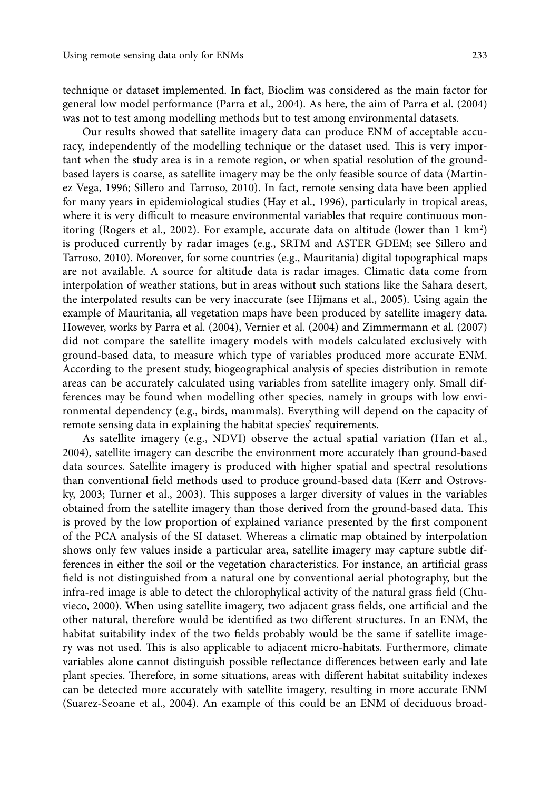technique or dataset implemented. In fact, Bioclim was considered as the main factor for general low model performance (Parra et al., 2004). As here, the aim of Parra et al. (2004) was not to test among modelling methods but to test among environmental datasets.

Our results showed that satellite imagery data can produce ENM of acceptable accuracy, independently of the modelling technique or the dataset used. This is very important when the study area is in a remote region, or when spatial resolution of the groundbased layers is coarse, as satellite imagery may be the only feasible source of data (Martínez Vega, 1996; Sillero and Tarroso, 2010). In fact, remote sensing data have been applied for many years in epidemiological studies (Hay et al., 1996), particularly in tropical areas, where it is very difficult to measure environmental variables that require continuous monitoring (Rogers et al., 2002). For example, accurate data on altitude (lower than 1 km2 ) is produced currently by radar images (e.g., SRTM and ASTER GDEM; see Sillero and Tarroso, 2010). Moreover, for some countries (e.g., Mauritania) digital topographical maps are not available. A source for altitude data is radar images. Climatic data come from interpolation of weather stations, but in areas without such stations like the Sahara desert, the interpolated results can be very inaccurate (see Hijmans et al., 2005). Using again the example of Mauritania, all vegetation maps have been produced by satellite imagery data. However, works by Parra et al. (2004), Vernier et al. (2004) and Zimmermann et al. (2007) did not compare the satellite imagery models with models calculated exclusively with ground-based data, to measure which type of variables produced more accurate ENM. According to the present study, biogeographical analysis of species distribution in remote areas can be accurately calculated using variables from satellite imagery only. Small differences may be found when modelling other species, namely in groups with low environmental dependency (e.g., birds, mammals). Everything will depend on the capacity of remote sensing data in explaining the habitat species' requirements.

As satellite imagery (e.g., NDVI) observe the actual spatial variation (Han et al., 2004), satellite imagery can describe the environment more accurately than ground-based data sources. Satellite imagery is produced with higher spatial and spectral resolutions than conventional field methods used to produce ground-based data (Kerr and Ostrovsky, 2003; Turner et al., 2003). This supposes a larger diversity of values in the variables obtained from the satellite imagery than those derived from the ground-based data. This is proved by the low proportion of explained variance presented by the first component of the PCA analysis of the SI dataset. Whereas a climatic map obtained by interpolation shows only few values inside a particular area, satellite imagery may capture subtle differences in either the soil or the vegetation characteristics. For instance, an artificial grass field is not distinguished from a natural one by conventional aerial photography, but the infra-red image is able to detect the chlorophylical activity of the natural grass field (Chuvieco, 2000). When using satellite imagery, two adjacent grass fields, one artificial and the other natural, therefore would be identified as two different structures. In an ENM, the habitat suitability index of the two fields probably would be the same if satellite imagery was not used. This is also applicable to adjacent micro-habitats. Furthermore, climate variables alone cannot distinguish possible reflectance differences between early and late plant species. Therefore, in some situations, areas with different habitat suitability indexes can be detected more accurately with satellite imagery, resulting in more accurate ENM (Suarez-Seoane et al., 2004). An example of this could be an ENM of deciduous broad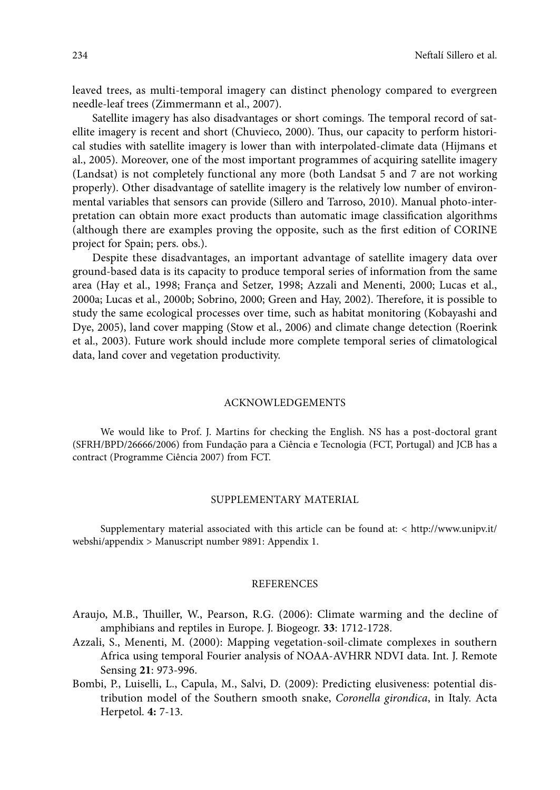leaved trees, as multi-temporal imagery can distinct phenology compared to evergreen needle-leaf trees (Zimmermann et al., 2007).

Satellite imagery has also disadvantages or short comings. The temporal record of satellite imagery is recent and short (Chuvieco, 2000). Thus, our capacity to perform historical studies with satellite imagery is lower than with interpolated-climate data (Hijmans et al., 2005). Moreover, one of the most important programmes of acquiring satellite imagery (Landsat) is not completely functional any more (both Landsat 5 and 7 are not working properly). Other disadvantage of satellite imagery is the relatively low number of environmental variables that sensors can provide (Sillero and Tarroso, 2010). Manual photo-interpretation can obtain more exact products than automatic image classification algorithms (although there are examples proving the opposite, such as the first edition of CORINE project for Spain; pers. obs.).

Despite these disadvantages, an important advantage of satellite imagery data over ground-based data is its capacity to produce temporal series of information from the same area (Hay et al., 1998; França and Setzer, 1998; Azzali and Menenti, 2000; Lucas et al., 2000a; Lucas et al., 2000b; Sobrino, 2000; Green and Hay, 2002). Therefore, it is possible to study the same ecological processes over time, such as habitat monitoring (Kobayashi and Dye, 2005), land cover mapping (Stow et al., 2006) and climate change detection (Roerink et al., 2003). Future work should include more complete temporal series of climatological data, land cover and vegetation productivity.

## Acknowledgements

We would like to Prof. J. Martins for checking the English. NS has a post-doctoral grant (SFRH/BPD/26666/2006) from Fundação para a Ciência e Tecnologia (FCT, Portugal) and JCB has a contract (Programme Ciência 2007) from FCT.

## SUPPLEMENTARY MATERIAL

Supplementary material associated with this article can be found at: < http://www.unipv.it/ webshi/appendix > Manuscript number 9891: Appendix 1.

## **REFERENCES**

- Araujo, M.B., Thuiller, W., Pearson, R.G. (2006): Climate warming and the decline of amphibians and reptiles in Europe. J. Biogeogr. **33**: 1712-1728.
- Azzali, S., Menenti, M. (2000): Mapping vegetation-soil-climate complexes in southern Africa using temporal Fourier analysis of NOAA-AVHRR NDVI data. Int. J. Remote Sensing **21**: 973-996.
- Bombi, P., Luiselli, L., Capula, M., Salvi, D. (2009): Predicting elusiveness: potential distribution model of the Southern smooth snake, *Coronella girondica*, in Italy. Acta Herpetol. **4:** 7-13.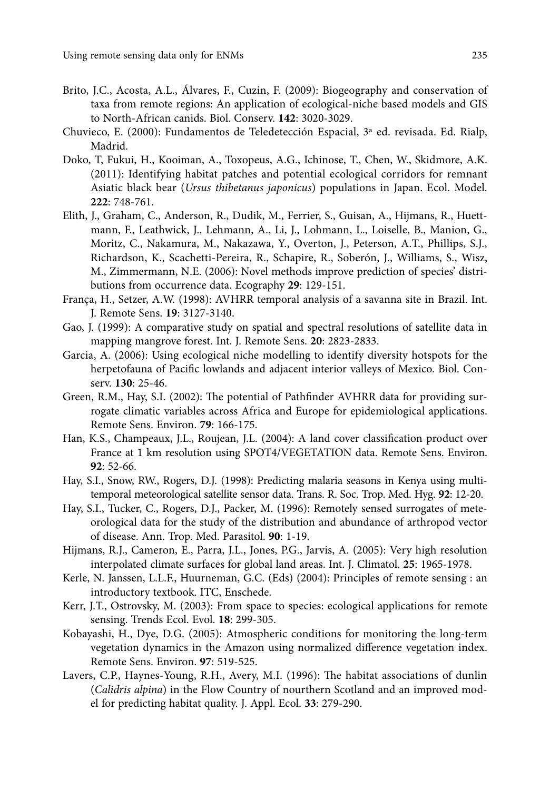- Brito, J.C., Acosta, A.L., Álvares, F., Cuzin, F. (2009): Biogeography and conservation of taxa from remote regions: An application of ecological-niche based models and GIS to North-African canids. Biol. Conserv. **142**: 3020-3029.
- Chuvieco, E. (2000): Fundamentos de Teledetección Espacial, 3ª ed. revisada. Ed. Rialp, Madrid.
- Doko, T, Fukui, H., Kooiman, A., Toxopeus, A.G., Ichinose, T., Chen, W., Skidmore, A.K. (2011): Identifying habitat patches and potential ecological corridors for remnant Asiatic black bear (*Ursus thibetanus japonicus*) populations in Japan. Ecol. Model. **222**: 748-761.
- Elith, J., Graham, C., Anderson, R., Dudik, M., Ferrier, S., Guisan, A., Hijmans, R., Huettmann, F., Leathwick, J., Lehmann, A., Li, J., Lohmann, L., Loiselle, B., Manion, G., Moritz, C., Nakamura, M., Nakazawa, Y., Overton, J., Peterson, A.T., Phillips, S.J., Richardson, K., Scachetti-Pereira, R., Schapire, R., Soberón, J., Williams, S., Wisz, M., Zimmermann, N.E. (2006): Novel methods improve prediction of species' distributions from occurrence data. Ecography **29**: 129-151.
- França, H., Setzer, A.W. (1998): AVHRR temporal analysis of a savanna site in Brazil. Int. J. Remote Sens. **19**: 3127-3140.
- Gao, J. (1999): A comparative study on spatial and spectral resolutions of satellite data in mapping mangrove forest. Int. J. Remote Sens. **20**: 2823-2833.
- Garcia, A. (2006): Using ecological niche modelling to identify diversity hotspots for the herpetofauna of Pacific lowlands and adjacent interior valleys of Mexico. Biol. Conserv. **130**: 25-46.
- Green, R.M., Hay, S.I. (2002): The potential of Pathfinder AVHRR data for providing surrogate climatic variables across Africa and Europe for epidemiological applications. Remote Sens. Environ. **79**: 166-175.
- Han, K.S., Champeaux, J.L., Roujean, J.L. (2004): A land cover classification product over France at 1 km resolution using SPOT4/VEGETATION data. Remote Sens. Environ. **92**: 52-66.
- Hay, S.I., Snow, RW., Rogers, D.J. (1998): Predicting malaria seasons in Kenya using multitemporal meteorological satellite sensor data. Trans. R. Soc. Trop. Med. Hyg. **92**: 12-20.
- Hay, S.I., Tucker, C., Rogers, D.J., Packer, M. (1996): Remotely sensed surrogates of meteorological data for the study of the distribution and abundance of arthropod vector of disease. Ann. Trop. Med. Parasitol. **90**: 1-19.
- Hijmans, R.J., Cameron, E., Parra, J.L., Jones, P.G., Jarvis, A. (2005): Very high resolution interpolated climate surfaces for global land areas. Int. J. Climatol. **25**: 1965-1978.
- Kerle, N. Janssen, L.L.F., Huurneman, G.C. (Eds) (2004): Principles of remote sensing : an introductory textbook. ITC, Enschede.
- Kerr, J.T., Ostrovsky, M. (2003): From space to species: ecological applications for remote sensing. Trends Ecol. Evol. **18**: 299-305.
- Kobayashi, H., Dye, D.G. (2005): Atmospheric conditions for monitoring the long-term vegetation dynamics in the Amazon using normalized difference vegetation index. Remote Sens. Environ. **97**: 519-525.
- Lavers, C.P., Haynes-Young, R.H., Avery, M.I. (1996): The habitat associations of dunlin (*Calidris alpina*) in the Flow Country of nourthern Scotland and an improved model for predicting habitat quality. J. Appl. Ecol. **33**: 279-290.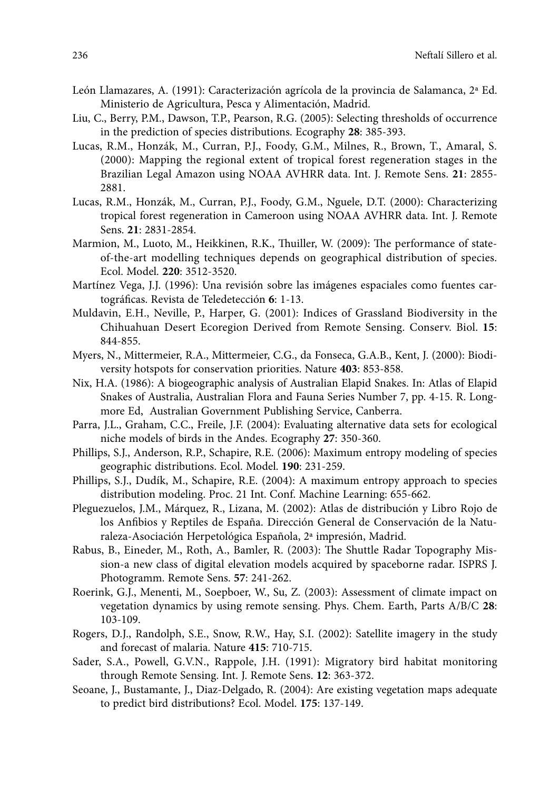- León Llamazares, A. (1991): Caracterización agrícola de la provincia de Salamanca, 2ª Ed. Ministerio de Agricultura, Pesca y Alimentación, Madrid.
- Liu, C., Berry, P.M., Dawson, T.P., Pearson, R.G. (2005): Selecting thresholds of occurrence in the prediction of species distributions. Ecography **28**: 385-393.
- Lucas, R.M., Honzák, M., Curran, P.J., Foody, G.M., Milnes, R., Brown, T., Amaral, S. (2000): Mapping the regional extent of tropical forest regeneration stages in the Brazilian Legal Amazon using NOAA AVHRR data. Int. J. Remote Sens. **21**: 2855- 2881.
- Lucas, R.M., Honzák, M., Curran, P.J., Foody, G.M., Nguele, D.T. (2000): Characterizing tropical forest regeneration in Cameroon using NOAA AVHRR data. Int. J. Remote Sens. **21**: 2831-2854.
- Marmion, M., Luoto, M., Heikkinen, R.K., Thuiller, W. (2009): The performance of stateof-the-art modelling techniques depends on geographical distribution of species. Ecol. Model. **220**: 3512-3520.
- Martínez Vega, J.J. (1996): Una revisión sobre las imágenes espaciales como fuentes cartográficas. Revista de Teledetección **6**: 1-13.
- Muldavin, E.H., Neville, P., Harper, G. (2001): Indices of Grassland Biodiversity in the Chihuahuan Desert Ecoregion Derived from Remote Sensing. Conserv. Biol. **15**: 844-855.
- Myers, N., Mittermeier, R.A., Mittermeier, C.G., da Fonseca, G.A.B., Kent, J. (2000): Biodiversity hotspots for conservation priorities. Nature **403**: 853-858.
- Nix, H.A. (1986): A biogeographic analysis of Australian Elapid Snakes. In: Atlas of Elapid Snakes of Australia, Australian Flora and Fauna Series Number 7, pp. 4-15. R. Longmore Ed, Australian Government Publishing Service, Canberra.
- Parra, J.L., Graham, C.C., Freile, J.F. (2004): Evaluating alternative data sets for ecological niche models of birds in the Andes. Ecography **27**: 350-360.
- Phillips, S.J., Anderson, R.P., Schapire, R.E. (2006): Maximum entropy modeling of species geographic distributions. Ecol. Model. **190**: 231-259.
- Phillips, S.J., Dudík, M., Schapire, R.E. (2004): A maximum entropy approach to species distribution modeling. Proc. 21 Int. Conf. Machine Learning: 655-662.
- Pleguezuelos, J.M., Márquez, R., Lizana, M. (2002): Atlas de distribución y Libro Rojo de los Anfibios y Reptiles de España. Dirección General de Conservación de la Naturaleza-Asociación Herpetológica Española, 2ª impresión, Madrid.
- Rabus, B., Eineder, M., Roth, A., Bamler, R. (2003): The Shuttle Radar Topography Mission-a new class of digital elevation models acquired by spaceborne radar. ISPRS J. Photogramm. Remote Sens. **57**: 241-262.
- Roerink, G.J., Menenti, M., Soepboer, W., Su, Z. (2003): Assessment of climate impact on vegetation dynamics by using remote sensing. Phys. Chem. Earth, Parts A/B/C **28**: 103-109.
- Rogers, D.J., Randolph, S.E., Snow, R.W., Hay, S.I. (2002): Satellite imagery in the study and forecast of malaria. Nature **415**: 710-715.
- Sader, S.A., Powell, G.V.N., Rappole, J.H. (1991): Migratory bird habitat monitoring through Remote Sensing. Int. J. Remote Sens. **12**: 363-372.
- Seoane, J., Bustamante, J., Diaz-Delgado, R. (2004): Are existing vegetation maps adequate to predict bird distributions? Ecol. Model. **175**: 137-149.